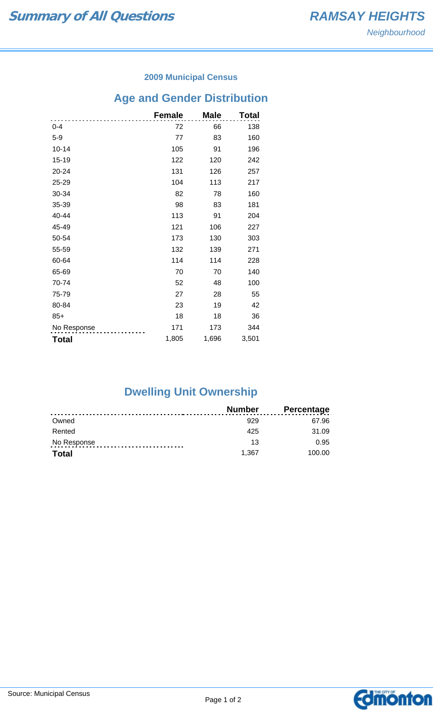### **2009 Municipal Census**

# **Age and Gender Distribution**

|              | <b>Female</b> | <b>Male</b> | Total |
|--------------|---------------|-------------|-------|
| $0 - 4$      | 72            | 66          | 138   |
| $5-9$        | 77            | 83          | 160   |
| $10 - 14$    | 105           | 91          | 196   |
| 15-19        | 122           | 120         | 242   |
| 20-24        | 131           | 126         | 257   |
| 25-29        | 104           | 113         | 217   |
| 30-34        | 82            | 78          | 160   |
| 35-39        | 98            | 83          | 181   |
| 40-44        | 113           | 91          | 204   |
| 45-49        | 121           | 106         | 227   |
| 50-54        | 173           | 130         | 303   |
| 55-59        | 132           | 139         | 271   |
| 60-64        | 114           | 114         | 228   |
| 65-69        | 70            | 70          | 140   |
| 70-74        | 52            | 48          | 100   |
| 75-79        | 27            | 28          | 55    |
| 80-84        | 23            | 19          | 42    |
| $85+$        | 18            | 18          | 36    |
| No Response  | 171           | 173         | 344   |
| <b>Total</b> | 1,805         | 1,696       | 3,501 |

## **Dwelling Unit Ownership**

|              | <b>Number</b> | <b>Percentage</b> |
|--------------|---------------|-------------------|
| Owned        | 929           | 67.96             |
| Rented       | 425           | 31.09             |
| No Response  | 13            | 0.95              |
| <b>Total</b> | 1.367         | 100.00            |